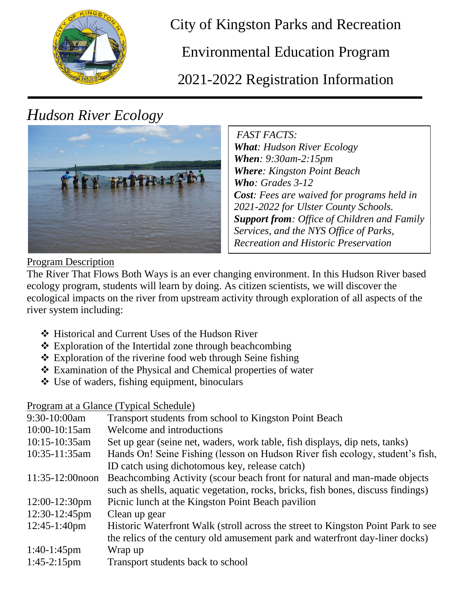

City of Kingston Parks and Recreation

Environmental Education Program

2021-2022 Registration Information

# *Hudson River Ecology*



*FAST FACTS: What: Hudson River Ecology When: 9:30am-2:15pm Where: Kingston Point Beach Who: Grades 3-12 Cost: Fees are waived for programs held in 2021-2022 for Ulster County Schools. Support from: Office of Children and Family Services, and the NYS Office of Parks, Recreation and Historic Preservation*

### Program Description

The River That Flows Both Ways is an ever changing environment. In this Hudson River based ecology program, students will learn by doing. As citizen scientists, we will discover the ecological impacts on the river from upstream activity through exploration of all aspects of the river system including:

- ❖ Historical and Current Uses of the Hudson River
- Exploration of the Intertidal zone through beachcombing
- Exploration of the riverine food web through Seine fishing
- Examination of the Physical and Chemical properties of water
- Use of waders, fishing equipment, binoculars

### Program at a Glance (Typical Schedule)

| Transport students from school to Kingston Point Beach                           |
|----------------------------------------------------------------------------------|
| Welcome and introductions                                                        |
| Set up gear (seine net, waders, work table, fish displays, dip nets, tanks)      |
| Hands On! Seine Fishing (lesson on Hudson River fish ecology, student's fish,    |
| ID catch using dichotomous key, release catch)                                   |
| Beachcombing Activity (scour beach front for natural and man-made objects)       |
| such as shells, aquatic vegetation, rocks, bricks, fish bones, discuss findings) |
| Picnic lunch at the Kingston Point Beach pavilion                                |
| Clean up gear                                                                    |
| Historic Waterfront Walk (stroll across the street to Kingston Point Park to see |
| the relics of the century old amusement park and waterfront day-liner docks)     |
| Wrap up                                                                          |
| Transport students back to school                                                |
|                                                                                  |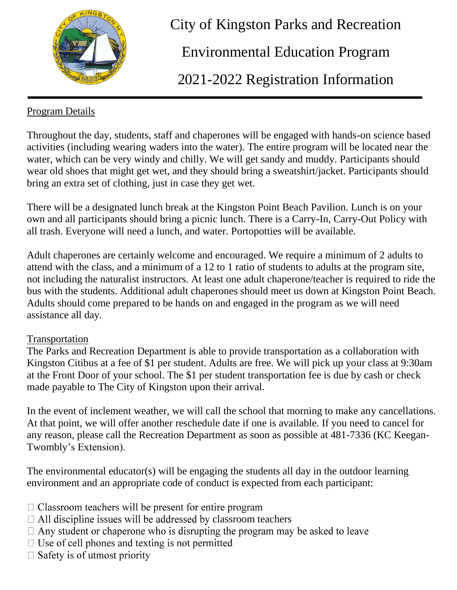

 City of Kingston Parks and Recreation Environmental Education Program 2021-2022 Registration Information

## Program Details

Throughout the day, students, staff and chaperones will be engaged with hands-on science based activities (including wearing waders into the water). The entire program will be located near the water, which can be very windy and chilly. We will get sandy and muddy. Participants should wear old shoes that might get wet, and they should bring a sweatshirt/jacket. Participants should bring an extra set of clothing, just in case they get wet.

There will be a designated lunch break at the Kingston Point Beach Pavilion. Lunch is on your own and all participants should bring a picnic lunch. There is a Carry-In, Carry-Out Policy with all trash. Everyone will need a lunch, and water. Portopotties will be available.

Adult chaperones are certainly welcome and encouraged. We require a minimum of 2 adults to attend with the class, and a minimum of a 12 to 1 ratio of students to adults at the program site, not including the naturalist instructors. At least one adult chaperone/teacher is required to ride the bus with the students. Additional adult chaperones should meet us down at Kingston Point Beach. Adults should come prepared to be hands on and engaged in the program as we will need assistance all day.

### Transportation

The Parks and Recreation Department is able to provide transportation as a collaboration with Kingston Citibus at a fee of \$1 per student. Adults are free. We will pick up your class at 9:30am at the Front Door of your school. The \$1 per student transportation fee is due by cash or check made payable to The City of Kingston upon their arrival.

In the event of inclement weather, we will call the school that morning to make any cancellations. At that point, we will offer another reschedule date if one is available. If you need to cancel for any reason, please call the Recreation Department as soon as possible at 481-7336 (KC Keegan-Twombly's Extension).

The environmental educator(s) will be engaging the students all day in the outdoor learning environment and an appropriate code of conduct is expected from each participant:

- $\Box$  Classroom teachers will be present for entire program
- $\Box$  All discipline issues will be addressed by classroom teachers
- $\Box$  Any student or chaperone who is disrupting the program may be asked to leave
- $\Box$  Use of cell phones and texting is not permitted
- $\Box$  Safety is of utmost priority